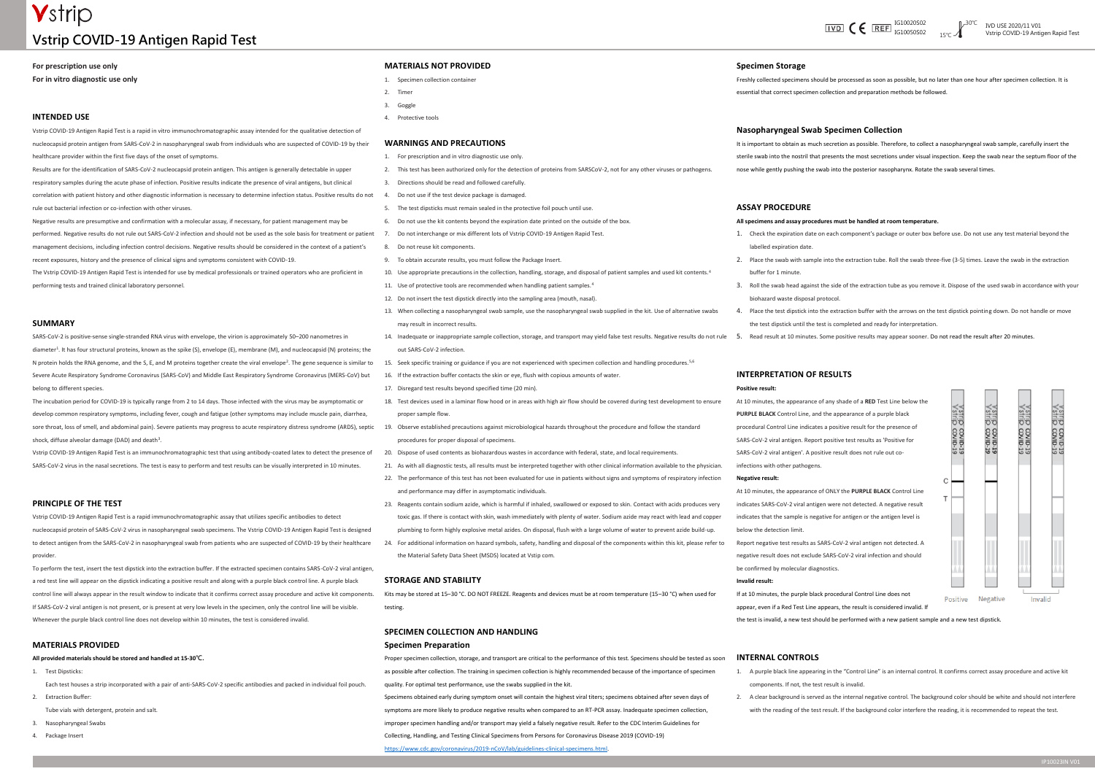# **V**strip **Vstrip COVID-19 Antigen Rapid Test**



# **For prescription use only**

**For in vitro diagnostic use only**

### **INTENDED USE**

Vstrip COVID-19 Antigen Rapid Test is a rapid in vitro immunochromatographic assay intended for the qualitative detection of nucleocapsid protein antigen from SARS-CoV-2 in nasopharyngeal swab from individuals who are suspected of COVID-19 by their healthcare provider within the first five days of the onset of symptoms.

Results are for the identification of SARS-CoV-2 nucleocapsid protein antigen. This antigen is generally detectable in upper respiratory samples during the acute phase of infection. Positive results indicate the presence of viral antigens, but clinical correlation with patient history and other diagnostic information is necessary to determine infection status. Positive results do not rule out bacterial infection or co-infection with other viruses.

Negative results are presumptive and confirmation with a molecular assay, if necessary, for patient management may be performed. Negative results do not rule out SARS-CoV-2 infection and should not be used as the sole basis for treatment or patient management decisions, including infection control decisions. Negative results should be considered in the context of a patient's

recent exposures, history and the presence of clinical signs and symptoms consistent with COVID-19.

The Vstrip COVID-19 Antigen Rapid Test is intended for use by medical professionals or trained operators who are proficient in performing tests and trained clinical laboratory personnel.

#### **SUMMARY**

SARS-CoV-2 is positive-sense single-stranded RNA virus with envelope, the virion is approximately 50–200 nanometres in diameter<sup>1</sup>. It has four structural proteins, known as the spike (S), envelope (E), membrane (M), and nucleocapsid (N) proteins; the N protein holds the RNA genome, and the S, E, and M proteins together create the viral envelope<sup>2</sup>. The gene sequence is similar to Severe Acute Respiratory Syndrome Coronavirus (SARS-CoV) and Middle East Respiratory Syndrome Coronavirus (MERS-CoV) but belong to different species.

To perform the test, insert the test dipstick into the extraction buffer. If the extracted specimen contains SARS-CoV-2 viral antigen a red test line will appear on the dipstick indicating a positive result and along with a purple black control line. A purple black control line will always appear in the result window to indicate that it confirms correct assay procedure and active kit components. If SARS-CoV-2 viral antigen is not present, or is present at very low levels in the specimen, only the control line will be visible. Whenever the purple black control line does not develop within 10 minutes, the test is considered invalid.

The incubation period for COVID-19 is typically range from 2 to 14 days. Those infected with the virus may be asymptomatic or develop common respiratory symptoms, including fever, cough and fatigue (other symptoms may include muscle pain, diarrhea, sore throat, loss of smell, and abdominal pain). Severe patients may progress to acute respiratory distress syndrome (ARDS), septic 19. Observe established precautions against microbiological hazards throughout the procedu shock, diffuse alveolar damage (DAD) and death<sup>3</sup> .

Vstrip COVID-19 Antigen Rapid Test is an immunochromatographic test that using antibody-coated latex to detect the presence of SARS-CoV-2 virus in the nasal secretions. The test is easy to perform and test results can be visually interpreted in 10 minutes.

### **PRINCIPLE OF THE TEST**

Vstrip COVID-19 Antigen Rapid Test is a rapid immunochromatographic assay that utilizes specific antibodies to detect nucleocapsid protein of SARS-CoV-2 virus in nasopharyngeal swab specimens. The Vstrip COVID-19 Antigen Rapid Test is designed to detect antigen from the SARS-CoV-2 in nasopharyngeal swab from patients who are suspected of COVID-19 by their healthcare provider.

## **MATERIALS PROVIDED**

**All provided materials should be stored and handled at 15-30℃.**

1. Test Dipsticks:

Each test houses a strip incorporated with a pair of anti-SARS-CoV-2 specific antibodies and packed in individual foil pouch. 2. Extraction Buffer:

Tube vials with detergent, protein and salt.

- 3. Nasopharyngeal Swabs
- 4. Package Insert

## **MATERIALS NOT PROVIDED**

- 1. Specimen collection container
- 2. Timer
- 3. Goggle
- 4. Protective tools

#### **WARNINGS AND PRECAUTIONS**

- 1. For prescription and in vitro diagnostic use only.
- 2. This test has been authorized only for the detection of proteins from SARSCoV-2, not for any other viruses or pathogens.
- 3. Directions should be read and followed carefully.
- 4. Do not use if the test device package is damaged.
- 5. The test dipsticks must remain sealed in the protective foil pouch until use.
- 6. Do not use the kit contents beyond the expiration date printed on the outside of the box.
- 7. Do not interchange or mix different lots of Vstrip COVID-19 Antigen Rapid Test.
- 8. Do not reuse kit components.
- 9. To obtain accurate results, you must follow the Package Insert.
- 10. Use appropriate precautions in the collection, handling, storage, and disposal of patient samples and used kit contents.<sup>4</sup>
- 11. Use of protective tools are recommended when handling patient samples.<sup>4</sup>
- 12. Do not insert the test dipstick directly into the sampling area (mouth, nasal).
- 13. When collecting a nasopharyngeal swab sample, use the nasopharyngeal swab supplied in the kit. Use of alternative swabs may result in incorrect results.
- 14. Inadequate or inappropriate sample collection, storage, and transport may yield false test results. Negative results do not rule out SARS-CoV-2 infection.
- 15. Seek specific training or guidance if you are not experienced with specimen collection and handling procedures.5,6
- 16. If the extraction buffer contacts the skin or eye, flush with copious amounts of water.
- 17. Disregard test results beyond specified time (20 min).
- 18. Test devices used in a laminar flow hood or in areas with high air flow should be covered during test development to ensure proper sample flow.
- procedures for proper disposal of specimens.
- 20. Dispose of used contents as biohazardous wastes in accordance with federal, state, and local requirements.
- 21. As with all diagnostic tests, all results must be interpreted together with other clinical information available to the physician.
- 22. The performance of this test has not been evaluated for use in patients without signs and symptoms of respiratory infection and performance may differ in asymptomatic individuals.
- 23. Reagents contain sodium azide, which is harmful if inhaled, swallowed or exposed to skin. Contact with acids produces very toxic gas. If there is contact with skin, wash immediately with plenty of water. Sodium azide may react with lead and copper plumbing to form highly explosive metal azides. On disposal, flush with a large volume of water to prevent azide build-up.
- 24. For additional information on hazard symbols, safety, handling and disposal of the components within this kit, please refer to the Material Safety Data Sheet (MSDS) located at Vstip com.

#### **STORAGE AND STABILITY**

Kits may be stored at 15–30 °C. DO NOT FREEZE. Reagents and devices must be at room temperature (15–30 °C) when used for testing.

# **SPECIMEN COLLECTION AND HANDLING**

### **Specimen Preparation**

Proper specimen collection, storage, and transport are critical to the performance of this test. Specimens should be tested as soon as possible after collection. The training in specimen collection is highly recommended because of the importance of specimen quality. For optimal test performance, use the swabs supplied in the kit.

Specimens obtained early during symptom onset will contain the highest viral titers; specimens obtained after seven days of symptoms are more likely to produce negative results when compared to an RT-PCR assay. Inadequate specimen collection, improper specimen handling and/or transport may yield a falsely negative result. Refer to the CDC Interim Guidelines for Collecting, Handling, and Testing Clinical Specimens from Persons for Coronavirus Disease 2019 (COVID-19)

[https://www.cdc.gov/coronavirus/2019-nCoV/lab/guidelines-clinical-specimens.html.](https://www.cdc.gov/coronavirus/2019-nCoV/lab/guidelines-clinical-specimens.html)

#### **Specimen Storage**

Freshly collected specimens should be processed as soon as possible, but no later than one hour after specimen collection. It is essential that correct specimen collection and preparation methods be followed.

# **Nasopharyngeal Swab Specimen Collection**

It is important to obtain as much secretion as possible. Therefore, to collect a nasopharyngeal swab sample, carefully insert the sterile swab into the nostril that presents the most secretions under visual inspection. Keep the swab near the septum floor of the nose while gently pushing the swab into the posterior nasopharynx. Rotate the swab several times.

#### **ASSAY PROCEDURE**

#### **All specimens and assay procedures must be handled at room temperature.**

1. Check the expiration date on each component's package or outer box before use. Do not use any test material beyond the

2. Place the swab with sample into the extraction tube. Roll the swab three-five (3-5) times. Leave the swab in the extraction

3. Roll the swab head against the side of the extraction tube as you remove it. Dispose of the used swab in accordance with your



- labelled expiration date.
- 
- buffer for 1 minute.
- biohazard waste disposal protocol.
- 4. Place the test dipstick into the extraction buffer with the arrows on the test dipstick pointing down. Do not handle or move the test dipstick until the test is completed and ready for interpretation.
- 5. Read result at 10 minutes. Some positive results may appear sooner. Do not read the result after 20 minutes.

# **INTERPRETATION OF RESULTS**

#### **Positive result:**

At 10 minutes, the appearance of any shade of a **RED** Test Line below the **PURPLE BLACK** Control Line, and the appearance of a purple black procedural Control Line indicates a positive result for the presence of SARS-CoV-2 viral antigen. Report positive test results as 'Positive for SARS-CoV-2 viral antigen'. A positive result does not rule out co-

infections with other pathogens.

#### **Negative result:**

At 10 minutes, the appearance of ONLY the **PURPLE BLACK** Control Line indicates SARS-CoV-2 viral antigen were not detected. A negative result indicates that the sample is negative for antigen or the antigen level is below the detection limit.

Report negative test results as SARS-CoV-2 viral antigen not detected. A negative result does not exclude SARS-CoV-2 viral infection and should be confirmed by molecular diagnostics.

#### **Invalid result:**

If at 10 minutes, the purple black procedural Control Line does not appear, even if a Red Test Line appears, the result is considered invalid. If the test is invalid, a new test should be performed with a new patient sample and a new test dipstick.

#### **INTERNAL CONTROLS**

1. A purple black line appearing in the "Control Line" is an internal control. It confirms correct assay procedure and active kit

- components. If not, the test result is invalid.
- 

2. A clear background is served as the internal negative control. The background color should be white and should not interfere with the reading of the test result. If the background color interfere the reading, it is recommended to repeat the test.